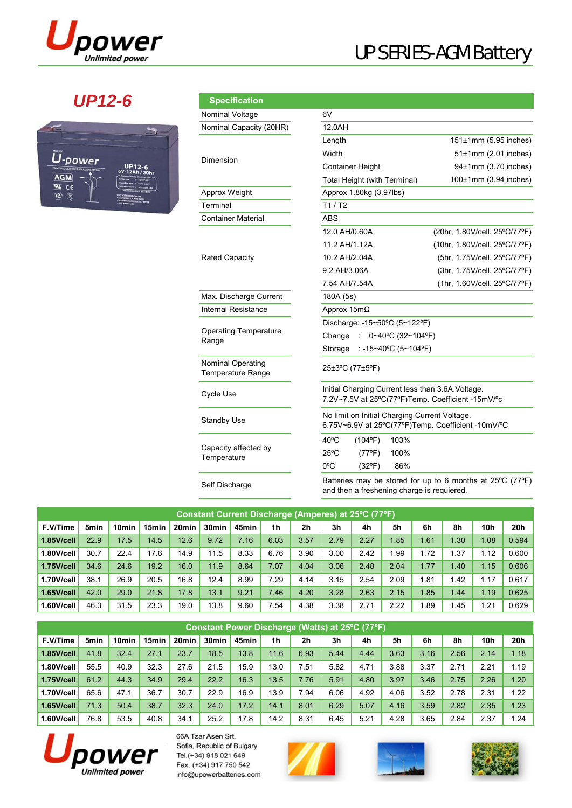

# UP SERIES-AGM Battery

## *UP12-6*



| <b>Specification</b>                                 |                                            |                                                                                                        |  |  |  |  |  |  |  |  |
|------------------------------------------------------|--------------------------------------------|--------------------------------------------------------------------------------------------------------|--|--|--|--|--|--|--|--|
| Nominal Voltage                                      | 6V                                         |                                                                                                        |  |  |  |  |  |  |  |  |
| Nominal Capacity (20HR)                              | 12.0AH                                     |                                                                                                        |  |  |  |  |  |  |  |  |
|                                                      | Length                                     | $151\pm1$ mm (5.95 inches)                                                                             |  |  |  |  |  |  |  |  |
| Dimension                                            | Width                                      | $51\pm1$ mm (2.01 inches)                                                                              |  |  |  |  |  |  |  |  |
|                                                      | <b>Container Height</b>                    | 94±1mm (3.70 inches)                                                                                   |  |  |  |  |  |  |  |  |
|                                                      | Total Height (with Terminal)               | $100±1$ mm (3.94 inches)                                                                               |  |  |  |  |  |  |  |  |
| Approx Weight                                        | Approx 1.80kg (3.97lbs)                    |                                                                                                        |  |  |  |  |  |  |  |  |
| Terminal                                             | T1/ T2                                     |                                                                                                        |  |  |  |  |  |  |  |  |
| <b>Container Material</b>                            | ABS                                        |                                                                                                        |  |  |  |  |  |  |  |  |
|                                                      | 12.0 AH/0.60A                              | (20hr, 1.80V/cell, 25°C/77°F)                                                                          |  |  |  |  |  |  |  |  |
|                                                      | 11.2 AH/1.12A                              | (10hr, 1.80V/cell, 25°C/77°F)                                                                          |  |  |  |  |  |  |  |  |
| <b>Rated Capacity</b>                                | 10.2 AH/2.04A                              | (5hr, 1.75V/cell, 25°C/77°F)                                                                           |  |  |  |  |  |  |  |  |
|                                                      | 9.2 AH/3.06A                               | (3hr, 1.75V/cell, 25°C/77°F)                                                                           |  |  |  |  |  |  |  |  |
|                                                      | 7.54 AH/7.54A                              | (1hr, 1.60V/cell, 25°C/77°F)                                                                           |  |  |  |  |  |  |  |  |
| Max. Discharge Current                               | 180A (5s)                                  |                                                                                                        |  |  |  |  |  |  |  |  |
| <b>Internal Resistance</b>                           | Approx $15m\Omega$                         |                                                                                                        |  |  |  |  |  |  |  |  |
|                                                      | Discharge: -15~50°C (5~122°F)              |                                                                                                        |  |  |  |  |  |  |  |  |
| <b>Operating Temperature</b><br>Range                | Change<br>0~40°C (32~104°F)                |                                                                                                        |  |  |  |  |  |  |  |  |
|                                                      | : -15~40°C (5~104°F)<br>Storage            |                                                                                                        |  |  |  |  |  |  |  |  |
| <b>Nominal Operating</b><br><b>Temperature Range</b> | 25±3°C (77±5°F)                            |                                                                                                        |  |  |  |  |  |  |  |  |
| Cycle Use                                            |                                            | Initial Charging Current less than 3.6A. Voltage.<br>7.2V~7.5V at 25°C(77°F)Temp. Coefficient -15mV/°c |  |  |  |  |  |  |  |  |
| <b>Standby Use</b>                                   |                                            | No limit on Initial Charging Current Voltage.<br>6.75V~6.9V at 25°C(77°F)Temp. Coefficient -10mV/°C    |  |  |  |  |  |  |  |  |
|                                                      | $40^{\circ}$ C<br>$(104^{\circ}F)$<br>103% |                                                                                                        |  |  |  |  |  |  |  |  |
| Capacity affected by<br>Temperature                  | 25°C<br>$(77^{\circ}F)$<br>100%            |                                                                                                        |  |  |  |  |  |  |  |  |
|                                                      | $0^{\circ}$ C<br>$(32^{\circ}F)$<br>86%    |                                                                                                        |  |  |  |  |  |  |  |  |

Batteries may be stored for up to 6 months at 25ºC (77ºF) Self Discharge **Example 19 Statemes** may be stored for up to 6 mon<br>and then a freshening charge is requiered.

| <b>Constant Current Discharge (Amperes) at 25°C (77°F)</b> |                  |                   |       |                   |                   |       |      |      |      |      |      |             |      |            |       |
|------------------------------------------------------------|------------------|-------------------|-------|-------------------|-------------------|-------|------|------|------|------|------|-------------|------|------------|-------|
| F.V/Time                                                   | 5 <sub>min</sub> | 10 <sub>min</sub> | 15min | 20 <sub>min</sub> | 30 <sub>min</sub> | 45min | 1h   | 2h   | 3h   | 4h   | 5h   | 6h          | 8h   | <b>10h</b> | 20h   |
| 1.85V/cell                                                 | 22.9             | 17.5              | 14.5  | 12.6              | 9.72              | 7.16  | 6.03 | 3.57 | 2.79 | 2.27 | 1.85 | 1.61        | I.30 | 1.08       | 0.594 |
| 1.80V/cell                                                 | 30.7             | 22.4              | 17.6  | 14.9              | 11.5              | 8.33  | 6.76 | 3.90 | 3.00 | 2.42 | .99  | 1.72        | .37  | 1.12       | 0.600 |
| 1.75V/cell                                                 | 34.6             | 24.6              | 19.2  | 16.0              | 11.9              | 8.64  | 7.07 | 4.04 | 3.06 | 2.48 | 2.04 | 1.77        | .40  | 1.15       | 0.606 |
| 1.70V/cell                                                 | 38.1             | 26.9              | 20.5  | 16.8              | 12.4              | 8.99  | 7.29 | 4.14 | 3.15 | 2.54 | 2.09 | 1.81        | .42  | 1.17       | 0.617 |
| 1.65V/cell                                                 | 42.0             | 29.0              | 21.8  | 17.8              | 13.1              | 9.21  | 7.46 | 4.20 | 3.28 | 2.63 | 2.15 | 1.85        | 1.44 | 1.19       | 0.625 |
| 1.60V/cell                                                 | 46.3             | 31.5              | 23.3  | 19.0              | 13.8              | 9.60  | 7.54 | 4.38 | 3.38 | 2.71 | 2.22 | <b>1.89</b> | .45  | 1.21       | 0.629 |

| Constant Power Discharge (Watts) at 25°C (77°F) |      |                   |       |                   |                   |       |      |      |      |      |      |      |      |                 |      |
|-------------------------------------------------|------|-------------------|-------|-------------------|-------------------|-------|------|------|------|------|------|------|------|-----------------|------|
| F.V/Time                                        | 5min | 10 <sub>min</sub> | 15min | 20 <sub>min</sub> | 30 <sub>min</sub> | 45min | 1h   | 2h   | 3h   | 4h   | 5h   | 6h   | 8h   | 10 <sub>h</sub> | 20h  |
| $1.85$ V/cell                                   | 41.8 | 32.4              | 27.1  | 23.7              | 18.5              | 13.8  | 11.6 | 6.93 | 5.44 | 4.44 | 3.63 | 3.16 | 2.56 | 2.14            | 1.18 |
| 1.80V/cell                                      | 55.5 | 40.9              | 32.3  | 27.6              | 21.5              | 15.9  | 13.0 | 7.51 | 5.82 | 4.71 | 3.88 | 3.37 | 2.71 | 2.21            | 1.19 |
| 1.75V/cell                                      | 61.2 | 44.3              | 34.9  | 29.4              | 22.2              | 16.3  | 13.5 | 7.76 | 5.91 | 4.80 | 3.97 | 3.46 | 2.75 | 2.26            | 1.20 |
| 1.70V/cell                                      | 65.6 | 47.1              | 36.7  | 30.7              | 22.9              | 16.9  | 13.9 | 7.94 | 6.06 | 4.92 | 4.06 | 3.52 | 2.78 | 2.31            | 1.22 |
| $1.65$ V/cell                                   | 71.3 | 50.4              | 38.7  | 32.3              | 24.0              | 17.2  | 14.1 | 8.01 | 6.29 | 5.07 | 4.16 | 3.59 | 2.82 | 2.35            | 1.23 |
| 1.60V/cell                                      | 76.8 | 53.5              | 40.8  | 34.1              | 25.2              | 17.8  | 14.2 | 8.31 | 6.45 | 5.21 | 4.28 | 3.65 | 2.84 | 2.37            | 1.24 |



66A Tzar Asen Srt. Sofia, Republic of Bulgary Tel.(+34) 918 021 649 Fax. (+34) 917 750 542 info@upowerbatteries.com